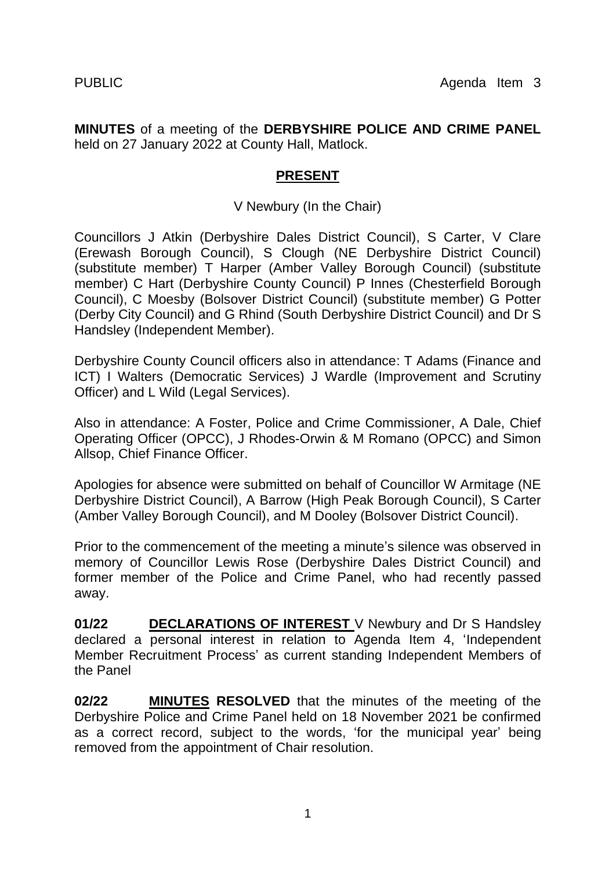**MINUTES** of a meeting of the **DERBYSHIRE POLICE AND CRIME PANEL**  held on 27 January 2022 at County Hall, Matlock.

## **PRESENT**

## V Newbury (In the Chair)

Councillors J Atkin (Derbyshire Dales District Council), S Carter, V Clare (Erewash Borough Council), S Clough (NE Derbyshire District Council) (substitute member) T Harper (Amber Valley Borough Council) (substitute member) C Hart (Derbyshire County Council) P Innes (Chesterfield Borough Council), C Moesby (Bolsover District Council) (substitute member) G Potter (Derby City Council) and G Rhind (South Derbyshire District Council) and Dr S Handsley (Independent Member).

Derbyshire County Council officers also in attendance: T Adams (Finance and ICT) I Walters (Democratic Services) J Wardle (Improvement and Scrutiny Officer) and L Wild (Legal Services).

Also in attendance: A Foster, Police and Crime Commissioner, A Dale, Chief Operating Officer (OPCC), J Rhodes-Orwin & M Romano (OPCC) and Simon Allsop, Chief Finance Officer.

Apologies for absence were submitted on behalf of Councillor W Armitage (NE Derbyshire District Council), A Barrow (High Peak Borough Council), S Carter (Amber Valley Borough Council), and M Dooley (Bolsover District Council).

Prior to the commencement of the meeting a minute's silence was observed in memory of Councillor Lewis Rose (Derbyshire Dales District Council) and former member of the Police and Crime Panel, who had recently passed away.

**01/22 DECLARATIONS OF INTEREST** V Newbury and Dr S Handsley declared a personal interest in relation to Agenda Item 4, 'Independent Member Recruitment Process' as current standing Independent Members of the Panel

**02/22 MINUTES RESOLVED** that the minutes of the meeting of the Derbyshire Police and Crime Panel held on 18 November 2021 be confirmed as a correct record, subject to the words, 'for the municipal year' being removed from the appointment of Chair resolution.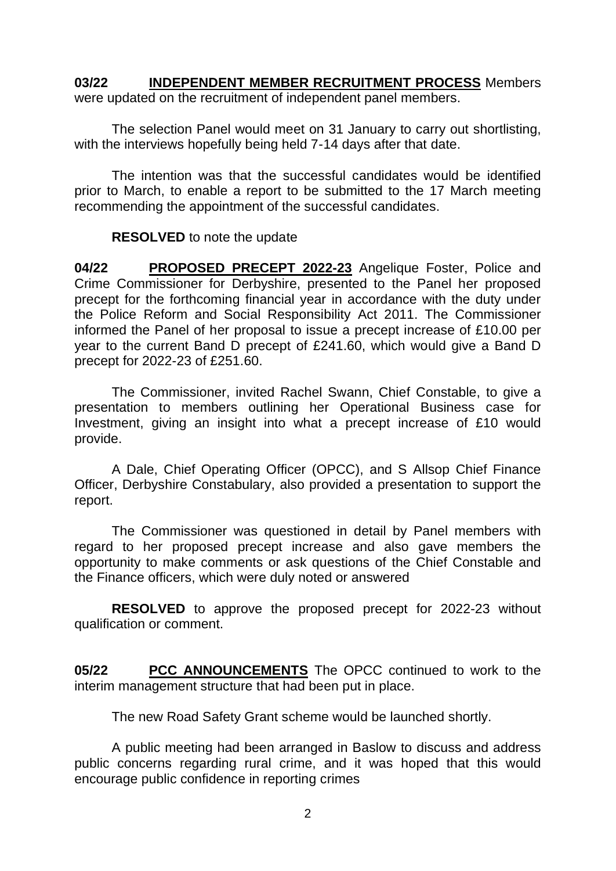**03/22 INDEPENDENT MEMBER RECRUITMENT PROCESS** Members were updated on the recruitment of independent panel members.

The selection Panel would meet on 31 January to carry out shortlisting, with the interviews hopefully being held 7-14 days after that date.

The intention was that the successful candidates would be identified prior to March, to enable a report to be submitted to the 17 March meeting recommending the appointment of the successful candidates.

## **RESOLVED** to note the update

**04/22 PROPOSED PRECEPT 2022-23** Angelique Foster, Police and Crime Commissioner for Derbyshire, presented to the Panel her proposed precept for the forthcoming financial year in accordance with the duty under the Police Reform and Social Responsibility Act 2011. The Commissioner informed the Panel of her proposal to issue a precept increase of £10.00 per year to the current Band D precept of £241.60, which would give a Band D precept for 2022-23 of £251.60.

The Commissioner, invited Rachel Swann, Chief Constable, to give a presentation to members outlining her Operational Business case for Investment, giving an insight into what a precept increase of £10 would provide.

A Dale, Chief Operating Officer (OPCC), and S Allsop Chief Finance Officer, Derbyshire Constabulary, also provided a presentation to support the report.

The Commissioner was questioned in detail by Panel members with regard to her proposed precept increase and also gave members the opportunity to make comments or ask questions of the Chief Constable and the Finance officers, which were duly noted or answered

**RESOLVED** to approve the proposed precept for 2022-23 without qualification or comment.

**05/22 PCC ANNOUNCEMENTS** The OPCC continued to work to the interim management structure that had been put in place.

The new Road Safety Grant scheme would be launched shortly.

A public meeting had been arranged in Baslow to discuss and address public concerns regarding rural crime, and it was hoped that this would encourage public confidence in reporting crimes